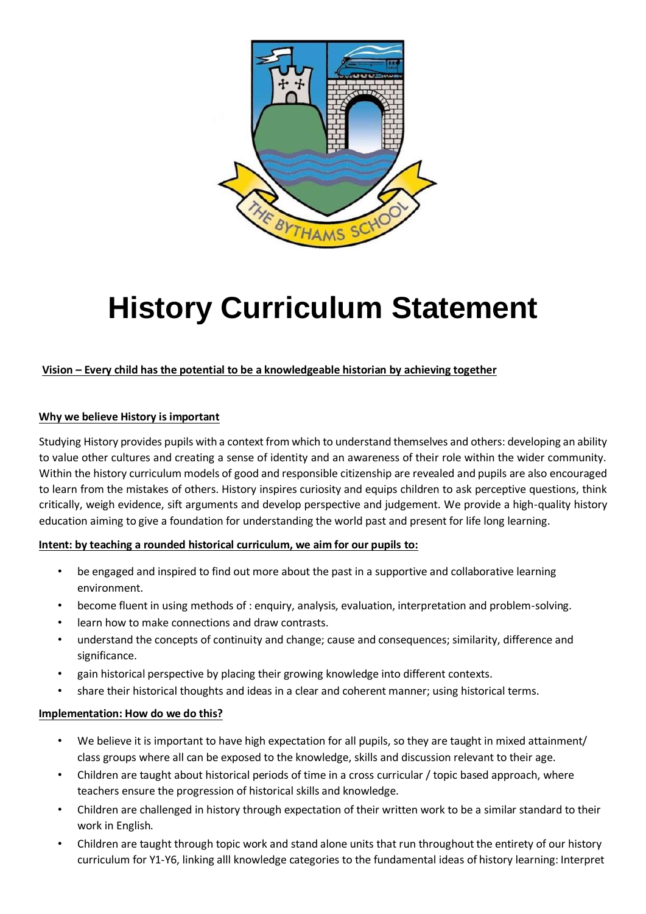

# **History Curriculum Statement**

## **Vision – Every child has the potential to be a knowledgeable historian by achieving together**

### **Why we believe History is important**

Studying History provides pupils with a context from which to understand themselves and others: developing an ability to value other cultures and creating a sense of identity and an awareness of their role within the wider community. Within the history curriculum models of good and responsible citizenship are revealed and pupils are also encouraged to learn from the mistakes of others. History inspires curiosity and equips children to ask perceptive questions, think critically, weigh evidence, sift arguments and develop perspective and judgement. We provide a high-quality history education aiming to give a foundation for understanding the world past and present for life long learning.

#### **Intent: by teaching a rounded historical curriculum, we aim for our pupils to:**

- be engaged and inspired to find out more about the past in a supportive and collaborative learning environment.
- become fluent in using methods of : enquiry, analysis, evaluation, interpretation and problem-solving.
- learn how to make connections and draw contrasts.
- understand the concepts of continuity and change; cause and consequences; similarity, difference and significance.
- gain historical perspective by placing their growing knowledge into different contexts.
- share their historical thoughts and ideas in a clear and coherent manner; using historical terms.

#### **Implementation: How do we do this?**

- We believe it is important to have high expectation for all pupils, so they are taught in mixed attainment/ class groups where all can be exposed to the knowledge, skills and discussion relevant to their age.
- Children are taught about historical periods of time in a cross curricular / topic based approach, where teachers ensure the progression of historical skills and knowledge.
- Children are challenged in history through expectation of their written work to be a similar standard to their work in English.
- Children are taught through topic work and stand alone units that run throughout the entirety of our history curriculum for Y1-Y6, linking alll knowledge categories to the fundamental ideas of history learning: Interpret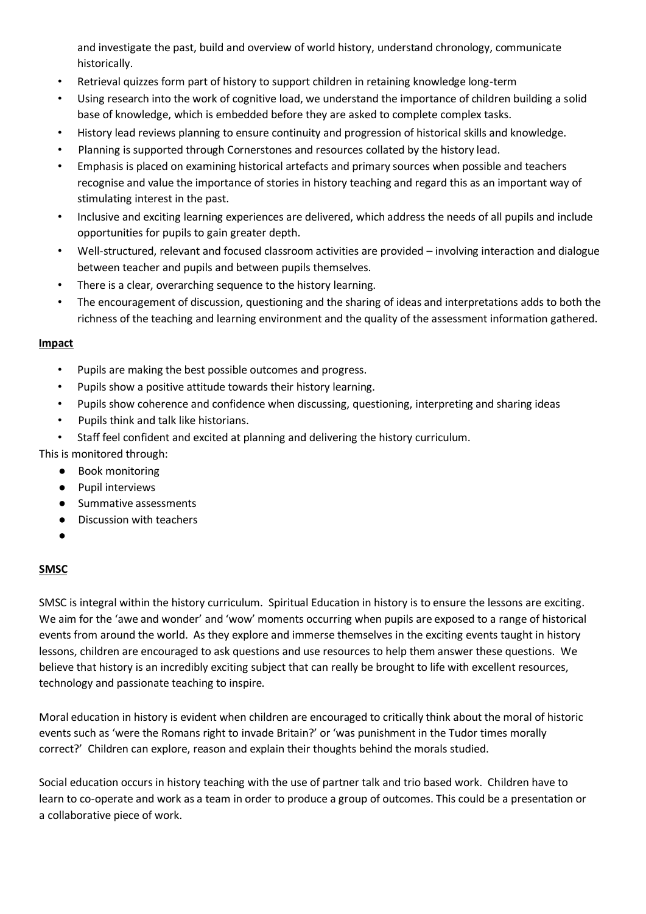and investigate the past, build and overview of world history, understand chronology, communicate historically.

- Retrieval quizzes form part of history to support children in retaining knowledge long-term
- Using research into the work of cognitive load, we understand the importance of children building a solid base of knowledge, which is embedded before they are asked to complete complex tasks.
- History lead reviews planning to ensure continuity and progression of historical skills and knowledge.
- Planning is supported through Cornerstones and resources collated by the history lead.
- Emphasis is placed on examining historical artefacts and primary sources when possible and teachers recognise and value the importance of stories in history teaching and regard this as an important way of stimulating interest in the past.
- Inclusive and exciting learning experiences are delivered, which address the needs of all pupils and include opportunities for pupils to gain greater depth.
- Well-structured, relevant and focused classroom activities are provided involving interaction and dialogue between teacher and pupils and between pupils themselves.
- There is a clear, overarching sequence to the history learning.
- The encouragement of discussion, questioning and the sharing of ideas and interpretations adds to both the richness of the teaching and learning environment and the quality of the assessment information gathered.

#### **Impact**

- Pupils are making the best possible outcomes and progress.
- Pupils show a positive attitude towards their history learning.
- Pupils show coherence and confidence when discussing, questioning, interpreting and sharing ideas
- Pupils think and talk like historians.
- Staff feel confident and excited at planning and delivering the history curriculum.
- This is monitored through:
	- Book monitoring
	- Pupil interviews
	- Summative assessments ● Discussion with teachers
	-
	- ●

## **SMSC**

SMSC is integral within the history curriculum. Spiritual Education in history is to ensure the lessons are exciting. We aim for the 'awe and wonder' and 'wow' moments occurring when pupils are exposed to a range of historical events from around the world. As they explore and immerse themselves in the exciting events taught in history lessons, children are encouraged to ask questions and use resources to help them answer these questions. We believe that history is an incredibly exciting subject that can really be brought to life with excellent resources, technology and passionate teaching to inspire.

Moral education in history is evident when children are encouraged to critically think about the moral of historic events such as 'were the Romans right to invade Britain?' or 'was punishment in the Tudor times morally correct?' Children can explore, reason and explain their thoughts behind the morals studied.

Social education occurs in history teaching with the use of partner talk and trio based work. Children have to learn to co-operate and work as a team in order to produce a group of outcomes. This could be a presentation or a collaborative piece of work.